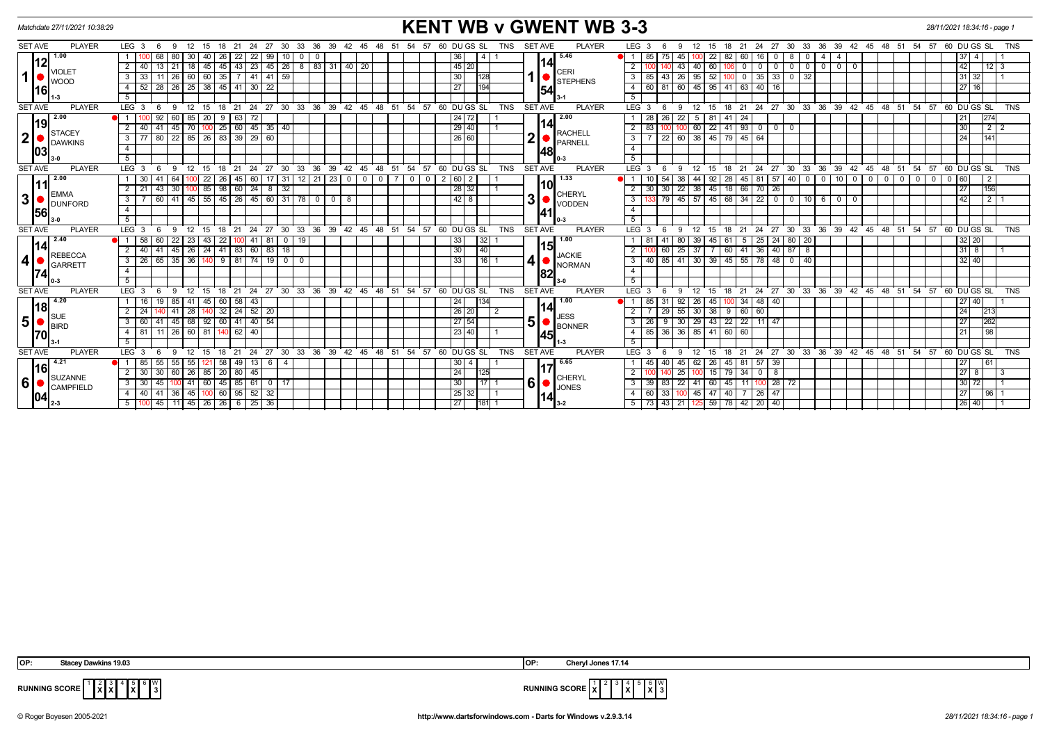|                  | Matchdate 27/11/2021 10:38:29                      |                                                                                                                                   |                                                            | <b>KENT WB v GWENT WB 3-3</b> |                                 |                                                                                                                                                                                                                                                                                 |                 |  |  |  |  |  |  |  |
|------------------|----------------------------------------------------|-----------------------------------------------------------------------------------------------------------------------------------|------------------------------------------------------------|-------------------------------|---------------------------------|---------------------------------------------------------------------------------------------------------------------------------------------------------------------------------------------------------------------------------------------------------------------------------|-----------------|--|--|--|--|--|--|--|
| <b>SET AVE</b>   | <b>PLAYER</b>                                      | LEG <sub>3</sub><br>36 39 42<br>12<br>15<br>21<br>24 27<br>-30<br>33<br>- 6<br>-9<br>18<br>- 45                                   | 60 DU GS SL<br>54<br>57<br>48                              | TNS                           | PLAYER<br><b>SET AVE</b>        | LEG <sub>3</sub><br>27<br>30 33 36 39 42 45 48 51 54 57 60 DUGS SL<br>12 <sup>12</sup><br>18<br>21 24<br>-6<br>9<br>15                                                                                                                                                          | <b>TNS</b>      |  |  |  |  |  |  |  |
|                  | 1.00                                               | 22<br>68<br>40<br>-22 I<br>99<br>30<br>-26 I<br>80<br>-0                                                                          | 36                                                         |                               | 5.46                            | 85<br>22<br>60<br>8<br>-4<br>45<br>16                                                                                                                                                                                                                                           |                 |  |  |  |  |  |  |  |
|                  | VIOLET                                             | 45   43   23   45   26   8   83   31   40   20<br>13   21   18   45  <br>2   40                                                   | 45 20                                                      |                               | 14                              | 42<br>2<br>40<br>60<br>$\mathbf 0$<br>$0$ 0<br>$\overline{0}$<br>$0$   0<br>-43<br>$\mathbf{0}$<br>$^{\circ}$                                                                                                                                                                   | $12$   3        |  |  |  |  |  |  |  |
| $\mathbf 1$      | <b>WOOD</b>                                        | 11   26   60   60   35   7   41   41   59  <br>3   33                                                                             | 30                                                         | 128                           | <b>CERI</b><br><b>STEPHENS</b>  | 43 26 95 52 100 0<br>$35 \mid 33 \mid 0 \mid 32$<br>85<br>$31 \mid 32$                                                                                                                                                                                                          |                 |  |  |  |  |  |  |  |
| l16l             |                                                    | 28 26 25 38<br>45 41 30 22<br>4   52                                                                                              | 27                                                         | 194                           | 54                              | 45 95 41 63<br>60<br>$40 \mid 16$<br>27 16<br>81<br>60                                                                                                                                                                                                                          |                 |  |  |  |  |  |  |  |
|                  |                                                    | 5                                                                                                                                 |                                                            |                               |                                 | 5                                                                                                                                                                                                                                                                               |                 |  |  |  |  |  |  |  |
| <b>SET AVE</b>   | <b>PLAYER</b>                                      | $39 \t 42$<br>LEG <sup>3</sup><br>27<br>30 33 36<br>12<br>21<br>24<br>45<br>-9                                                    | 48<br>54<br>57<br>60 DUGS SL<br>- 51                       | <b>TNS</b>                    | <b>SET AVE</b><br><b>PLAYER</b> | 36 39<br>LEG <sub>3</sub><br>24<br>$27 \quad 30$<br>$33^\circ$<br>$42 \quad 45 \quad 48$<br>ີ 54<br>60 DUGS SL<br>12<br>21<br>-51<br>57<br>-6<br>-9<br>15<br>-18                                                                                                                | <b>TNS</b>      |  |  |  |  |  |  |  |
|                  | 2.00                                               | 92<br>20<br>60<br>85<br>-9<br>l 63<br>72                                                                                          | 24 72                                                      |                               | 2.00                            | 28<br>22<br>$5\overline{)}$<br>26<br>  81<br>41 24<br>21                                                                                                                                                                                                                        | 274             |  |  |  |  |  |  |  |
|                  | <b>STACEY</b>                                      | 100 25 60 45 35 40<br>41<br>$45$ 70<br>$2 \mid 40 \mid$                                                                           | $\sqrt{29}$ 40                                             |                               | 14<br><b>RACHELL</b>            | 00 60 22 41 93 0 0 0<br>83<br>$\overline{2}$<br>30                                                                                                                                                                                                                              | $2$   $2$       |  |  |  |  |  |  |  |
| $\boldsymbol{2}$ | <b>DAWKINS</b><br> 03                              | 80   22   85   26   83   39   29   60<br>$3 \mid 77$                                                                              | 26 60                                                      |                               | ◠<br>PARNELL                    | 22 60 38 45 79 45<br>64<br>$\overline{24}$<br>3                                                                                                                                                                                                                                 | 141             |  |  |  |  |  |  |  |
|                  |                                                    | $\overline{4}$                                                                                                                    |                                                            |                               | 48                              | $\overline{4}$                                                                                                                                                                                                                                                                  |                 |  |  |  |  |  |  |  |
|                  |                                                    | 5                                                                                                                                 |                                                            |                               |                                 | 5                                                                                                                                                                                                                                                                               |                 |  |  |  |  |  |  |  |
| <b>SET AVE</b>   | <b>PLAYER</b>                                      | $\cdot$ 27<br>່ 30 ່ 33 ່ 36 ່<br>39 42 45<br>LEG <sup>3</sup><br>$^{\circ}$ 12<br>ີ 18<br>21<br>$^{\circ}$ 24<br>-9<br>15<br>- 6 | 54 57 60 DUGS SL<br>ີ 48<br>51                             | <b>TNS</b>                    | <b>SET AVE</b><br><b>PLAYER</b> | 27 30<br>33 36 39<br>45 48 51 54 57 60 DUGS SL<br>LEG <sub>3</sub><br>6<br>15<br>18 21 24<br>ີ 42<br>- 9<br>12 <sup>12</sup>                                                                                                                                                    | TNS             |  |  |  |  |  |  |  |
|                  | 2.00                                               | $12 \mid 21$<br>$\sqrt{23}$ 0<br>41<br>64<br>22<br>$26$ 45 60<br>$\overline{17}$ 31<br>$\mathbf 0$<br>1 30                        | 2 60 <br>0 <sup>1</sup><br>$\mathbf 0$<br>$\mathbf 0$<br>2 |                               | 1.33                            | 92<br>$40$ 0<br>$0$ 10<br>10<br>54<br>44<br>28<br>45<br>$81 \overline{57}$<br>$\overline{\mathbf{0}}$<br>$0$ 0<br>$\overline{\phantom{0}}$ o $\overline{\phantom{0}}$<br>$^{\circ}$<br>$ 60\rangle$<br>38<br>$\mathbf 0$<br>$\overline{\phantom{0}}$ 0 $\overline{\phantom{0}}$ | $\overline{2}$  |  |  |  |  |  |  |  |
|                  | <b>EMMA</b><br><b>DUNFORD</b><br> 56               | $ 00 $ 85<br> 43 <br>30<br>98   60   24<br>$8 \mid 32$<br>$2 \mid 21$                                                             | 28 32                                                      |                               | 10 <br>CHERYL                   | $30 \mid 22 \mid 38 \mid 45 \mid 18 \mid 66$<br>$\overline{27}$<br>30<br>$70 \mid 26$<br>2                                                                                                                                                                                      | 156             |  |  |  |  |  |  |  |
| $\mathbf 3$      |                                                    | 60   41   45   55   45   26   45   60   31   78   0   0   8<br>3                                                                  | 42 8                                                       |                               | 3 I<br><b>VODDEN</b>            | 79 45 57 45 68 34 22 0 0 10 6 0 0<br>42<br>$\mathbf{3}$                                                                                                                                                                                                                         | $\frac{1}{2}$ 1 |  |  |  |  |  |  |  |
|                  |                                                    | $\overline{4}$                                                                                                                    |                                                            |                               | 141                             | $\overline{4}$                                                                                                                                                                                                                                                                  |                 |  |  |  |  |  |  |  |
|                  |                                                    | 5 <sup>7</sup>                                                                                                                    |                                                            |                               |                                 | 5                                                                                                                                                                                                                                                                               |                 |  |  |  |  |  |  |  |
| <b>SET AVE</b>   | <b>PLAYER</b>                                      | 24 27 30 33 36 39 42 45 48 51 54 57 60 DUGS SL<br>LEG <sub>3</sub><br>-9<br>12<br>15<br>18<br>21<br>- 6                           |                                                            | <b>TNS</b>                    | <b>SET AVE</b><br><b>PLAYER</b> | 12 15 18 21 24 27 30 33 36 39 42 45 48 51 54 57 60 DUGS SL<br>LEG <sub>3</sub><br>- 6<br>- 9                                                                                                                                                                                    | TNS             |  |  |  |  |  |  |  |
|                  | 2.40                                               | $1 \overline{58}$<br>60<br>22 23<br>43<br>22 100 41<br>81 0 19                                                                    | 33                                                         | 32 <sub>1</sub>               | 1.00<br>15                      | 25 24 80 20<br>81<br>39<br>45 61 5<br>$32 \mid 20$<br>-41<br>80                                                                                                                                                                                                                 |                 |  |  |  |  |  |  |  |
|                  | REBECCA                                            | $2 \mid 40$<br>24<br>$41 \mid 83 \mid 60$<br>83<br>41<br>45   26  <br>  18                                                        | 30                                                         | 40                            | <b>JACKIE</b>                   | 318<br>37<br>$36$ 40 87<br>2<br>$\sqrt{25}$<br>60 41<br>8<br>60                                                                                                                                                                                                                 |                 |  |  |  |  |  |  |  |
| $\boldsymbol{4}$ | <b>GARRETT</b>                                     | 65<br>$35 \mid 36$<br>74<br>19<br>$3 \mid 26$<br>91811<br>  0  <br>140<br>$\mathbf{0}$                                            | 33                                                         | $16$   1                      | NORMAN                          | 40<br>85<br>30<br>39 45 55<br>78 48<br>$0 \mid 40$<br>32 40<br> 41 <br>3                                                                                                                                                                                                        |                 |  |  |  |  |  |  |  |
|                  |                                                    | $\overline{4}$                                                                                                                    |                                                            |                               | 82                              | $\overline{4}$                                                                                                                                                                                                                                                                  |                 |  |  |  |  |  |  |  |
|                  |                                                    | 5 <sup>5</sup>                                                                                                                    |                                                            |                               |                                 | 5                                                                                                                                                                                                                                                                               |                 |  |  |  |  |  |  |  |
| <b>SET AVE</b>   | <b>PLAYER</b>                                      | 27<br>$30 \quad 33 \quad 36$<br>39 42 45<br>LEG <sub>3</sub><br>21<br>24<br>12<br>15<br>18<br>$\Omega$                            | $48 \t 51$<br>54<br>$-57$<br>60 DU GS SL                   | <b>TNS</b>                    | <b>SET AVE</b><br><b>PLAYER</b> | LEG <sub>3</sub><br>24<br>27 30 33 36 39 42 45 48 51 54 57 60 DUGS SL<br>12<br>18<br>21<br>-6<br>9<br>15                                                                                                                                                                        | <b>TNS</b>      |  |  |  |  |  |  |  |
|                  | 4.20<br>l18l<br><b>SUE</b><br><b>BIRD</b>          | 19<br>85<br>45<br>60 58 43<br>  41  <br>1   16                                                                                    | 24                                                         | 134I                          | 1.00<br>14                      | 85<br>26<br>45<br>00 34<br>48 40<br>27 40 <br>-31<br>92                                                                                                                                                                                                                         |                 |  |  |  |  |  |  |  |
|                  |                                                    | $32 \mid 24 \mid 52 \mid 20$<br>$2 \mid 24$<br>28<br>-41                                                                          | 26 20                                                      | 2                             | <b>JESS</b>                     | 30<br>$38$ 9 60<br>24<br>29 55<br>60<br>2                                                                                                                                                                                                                                       | 213             |  |  |  |  |  |  |  |
| 5 <sub>l</sub>   |                                                    | 41   45   68   92  <br>60 41 40 54<br>3   60                                                                                      | 27 54                                                      |                               | 51<br>BONNER                    | 43 22 22<br>29<br>$11 \overline{)47}$<br>27<br>26 I<br>- 9<br>30                                                                                                                                                                                                                | 262             |  |  |  |  |  |  |  |
| l70l             |                                                    | $11 \mid 26 \mid 60 \mid 81$<br>40<br>4   81<br>62 I                                                                              | 23 40                                                      |                               | 45                              | 36 36 85 41<br>85<br>60 60<br>21                                                                                                                                                                                                                                                | 98              |  |  |  |  |  |  |  |
|                  |                                                    | 5                                                                                                                                 |                                                            |                               |                                 | -5                                                                                                                                                                                                                                                                              |                 |  |  |  |  |  |  |  |
| <b>SET AVE</b>   | <b>PLAYER</b>                                      | LEG <sup>3</sup><br>27<br>30 33 36<br>$39 \quad 42$<br>12<br>15<br>21<br>24<br>45<br>-9<br>18                                     | 48<br>54<br>57<br>60 DU GS SL<br>- 51                      | <b>TNS</b>                    | <b>SET AVE</b><br><b>PLAYER</b> | 30 33 36 39<br>LEG <sub>3</sub><br>24<br>27<br>$42$ 45 48 51<br>54 57<br>60 DUGS SL<br>9<br>12<br>18<br>21<br>- 6<br>15                                                                                                                                                         | <b>TNS</b>      |  |  |  |  |  |  |  |
|                  | 4.21<br>1161<br>SUZANNE<br><b>CAMPFIELD</b><br>104 | 58   49   13  <br>55<br>55<br>  55  <br>- 6<br>  85<br>121 I                                                                      | 30                                                         |                               | 6.65<br>117                     | 62 26<br> 45 81 57 39<br>45<br>40<br>27<br>45                                                                                                                                                                                                                                   | 61              |  |  |  |  |  |  |  |
|                  |                                                    | 60   26   85   20   80   45<br>$2 \mid 30 \mid$<br>-30 I                                                                          | 24                                                         | 125I                          | <b>CHERYL</b>                   | $15$ 79 34<br>27 8<br>$\overline{2}$<br>$0\overline{25}$<br>$0 \mid 8$<br>100 I                                                                                                                                                                                                 | $\overline{3}$  |  |  |  |  |  |  |  |
| $6\phantom{1}$   |                                                    | $3 \mid 30$<br>45<br>$100$ 41 60<br>45   85   61   0   17                                                                         | 30                                                         | 1711                          | 6 <sup>1</sup><br><b>JONES</b>  | $100$ 28 $72$<br>30 72<br>39 <sup>1</sup><br>83 22 41 60 45 11<br>3                                                                                                                                                                                                             |                 |  |  |  |  |  |  |  |
|                  |                                                    | 60 95 52 32<br>4   40  <br>  41   36   45  <br>100                                                                                | 25 32                                                      |                               | 14                              | $-60$<br>33 100 45 47 40 7 26 47<br>27                                                                                                                                                                                                                                          | 96 1            |  |  |  |  |  |  |  |
|                  |                                                    | 45   11   45   26   26   6   25   36<br>$5 \vert 1$                                                                               | $\overline{27}$                                            | 181                           | l 3-2                           | 73 43 21<br>59 78 42 20 40<br>26 40 <br>5 <sub>1</sub><br>125                                                                                                                                                                                                                   |                 |  |  |  |  |  |  |  |

**X X** 5 **X** W



**RUNNING SCORE**